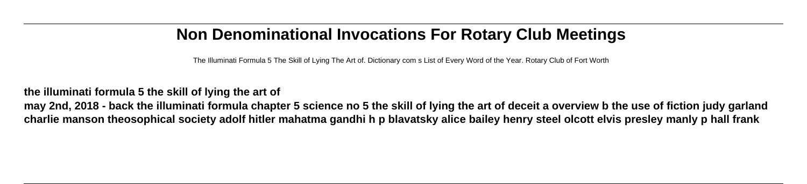## **Non Denominational Invocations For Rotary Club Meetings**

The Illuminati Formula 5 The Skill of Lying The Art of. Dictionary com s List of Every Word of the Year. Rotary Club of Fort Worth

## **the illuminati formula 5 the skill of lying the art of**

**may 2nd, 2018 - back the illuminati formula chapter 5 science no 5 the skill of lying the art of deceit a overview b the use of fiction judy garland charlie manson theosophical society adolf hitler mahatma gandhi h p blavatsky alice bailey henry steel olcott elvis presley manly p hall frank**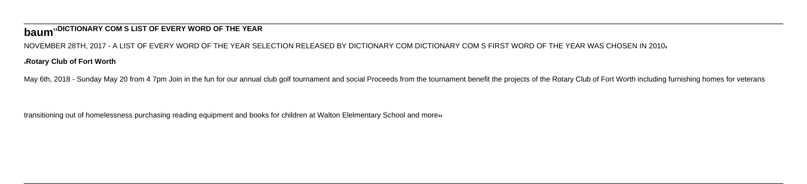## **baum**''**DICTIONARY COM S LIST OF EVERY WORD OF THE YEAR**

NOVEMBER 28TH, 2017 - A LIST OF EVERY WORD OF THE YEAR SELECTION RELEASED BY DICTIONARY COM DICTIONARY COM S FIRST WORD OF THE YEAR WAS CHOSEN IN 2010'

'**Rotary Club of Fort Worth**

May 6th, 2018 - Sunday May 20 from 4 7pm Join in the fun for our annual club golf tournament and social Proceeds from the tournament benefit the projects of the Rotary Club of Fort Worth including furnishing homes for vete

transitioning out of homelessness purchasing reading equipment and books for children at Walton Elelmentary School and more<sub>11</sub>